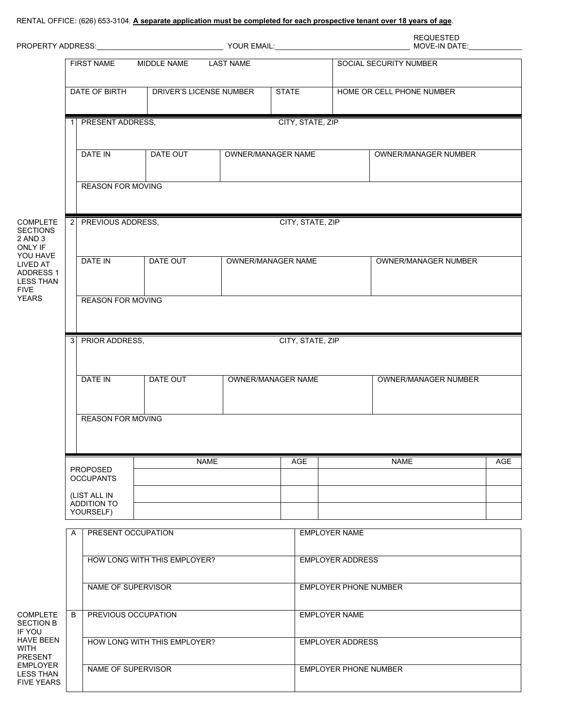## RENTAL OFFICE: (626) 653-3104. **A separate application must be completed for each prospective tenant over 18 years of age**.

|                                                                                                                                                         |                                          |                                          |                              |  |                              |                              | <b>REQUESTED</b>          |     |  |
|---------------------------------------------------------------------------------------------------------------------------------------------------------|------------------------------------------|------------------------------------------|------------------------------|--|------------------------------|------------------------------|---------------------------|-----|--|
|                                                                                                                                                         | FIRST NAME<br>MIDDLE NAME LAST NAME      |                                          |                              |  |                              |                              | SOCIAL SECURITY NUMBER    |     |  |
|                                                                                                                                                         | DATE OF BIRTH<br>DRIVER'S LICENSE NUMBER |                                          |                              |  | <b>STATE</b>                 |                              | HOME OR CELL PHONE NUMBER |     |  |
|                                                                                                                                                         |                                          | 1 PRESENT ADDRESS,                       |                              |  | CITY, STATE, ZIP             |                              |                           |     |  |
|                                                                                                                                                         |                                          | DATE IN                                  | DATE OUT                     |  | <b>OWNER/MANAGER NAME</b>    |                              | OWNER/MANAGER NUMBER      |     |  |
|                                                                                                                                                         |                                          | <b>REASON FOR MOVING</b>                 |                              |  |                              |                              |                           |     |  |
| <b>COMPLETE</b><br><b>SECTIONS</b><br>2 AND 3<br>ONLY IF<br>YOU HAVE<br>LIVED AT<br><b>ADDRESS 1</b><br><b>LESS THAN</b><br><b>FIVE</b><br><b>YEARS</b> |                                          | PREVIOUS ADDRESS,<br>2 <sup>1</sup>      |                              |  |                              | CITY, STATE, ZIP             |                           |     |  |
|                                                                                                                                                         |                                          | DATE IN                                  | DATE OUT                     |  | OWNER/MANAGER NAME           |                              | OWNER/MANAGER NUMBER      |     |  |
|                                                                                                                                                         | <b>REASON FOR MOVING</b>                 |                                          |                              |  |                              |                              |                           |     |  |
|                                                                                                                                                         |                                          | 3 PRIOR ADDRESS,                         |                              |  | CITY, STATE, ZIP             |                              |                           |     |  |
|                                                                                                                                                         |                                          | DATE IN                                  | DATE OUT                     |  | OWNER/MANAGER NAME           |                              | OWNER/MANAGER NUMBER      |     |  |
|                                                                                                                                                         |                                          | <b>REASON FOR MOVING</b>                 |                              |  |                              |                              |                           |     |  |
|                                                                                                                                                         |                                          |                                          | <b>NAME</b>                  |  | AGE                          |                              | <b>NAME</b>               | AGE |  |
|                                                                                                                                                         |                                          | <b>PROPOSED</b><br><b>OCCUPANTS</b>      |                              |  |                              |                              |                           |     |  |
|                                                                                                                                                         |                                          | (LIST ALL IN<br>ADDITION TO<br>YOURSELF) |                              |  |                              |                              |                           |     |  |
|                                                                                                                                                         | A                                        | PRESENT OCCUPATION                       |                              |  |                              | <b>EMPLOYER NAME</b>         |                           |     |  |
|                                                                                                                                                         |                                          |                                          | HOW LONG WITH THIS EMPLOYER? |  |                              | <b>EMPLOYER ADDRESS</b>      |                           |     |  |
|                                                                                                                                                         |                                          | NAME OF SUPERVISOR                       |                              |  | <b>EMPLOYER PHONE NUMBER</b> |                              |                           |     |  |
| <b>COMPLETE</b><br><b>SECTION B</b><br>IF YOU<br><b>HAVE BEEN</b><br>WITH<br><b>PRESENT</b>                                                             | B                                        | PREVIOUS OCCUPATION                      |                              |  | <b>EMPLOYER NAME</b>         |                              |                           |     |  |
|                                                                                                                                                         |                                          |                                          | HOW LONG WITH THIS EMPLOYER? |  |                              | <b>EMPLOYER ADDRESS</b>      |                           |     |  |
| EMPLOYER<br><b>LESS THAN</b><br><b>FIVE YEARS</b>                                                                                                       |                                          | NAME OF SUPERVISOR                       |                              |  |                              | <b>EMPLOYER PHONE NUMBER</b> |                           |     |  |